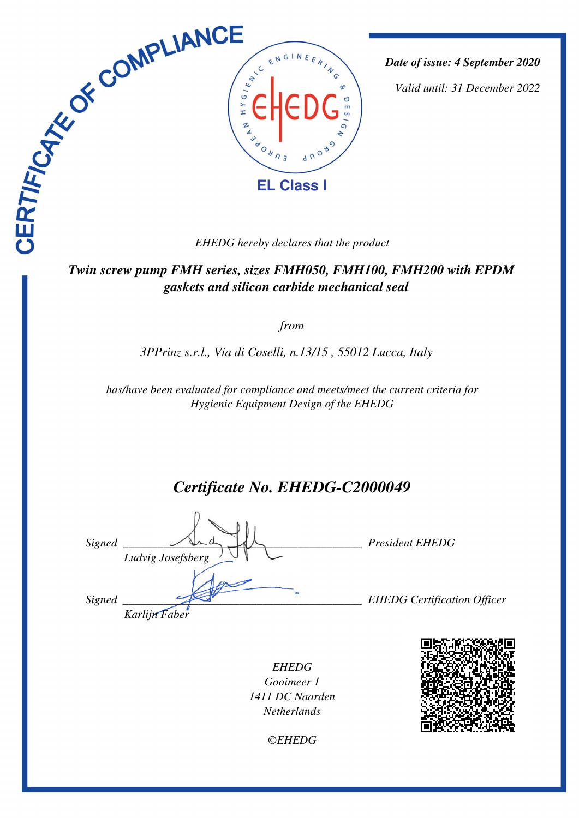

*Date of issue: 4 September 2020*

*Valid until: 31 December 2022*

 *Twin screw pump FMH series, sizes FMH050, FMH100, FMH200 with EPDM gaskets and silicon carbide mechanical seal* 

*from*

*3PPrinz s.r.l., Via di Coselli, n.13/15 , 55012 Lucca, Italy* 

*has/have been evaluated for compliance and meets/meet the current criteria for Hygienic Equipment Design of the EHEDG*

# *Certificate No. EHEDG-C2000049*

| Signed | Ludvig Josefsberg | <b>President EHEDG</b>             |
|--------|-------------------|------------------------------------|
| Signed | Karlijn Faber     | <b>EHEDG</b> Certification Officer |

*EHEDG Gooimeer 1 1411 DC Naarden Netherlands*



*©EHEDG*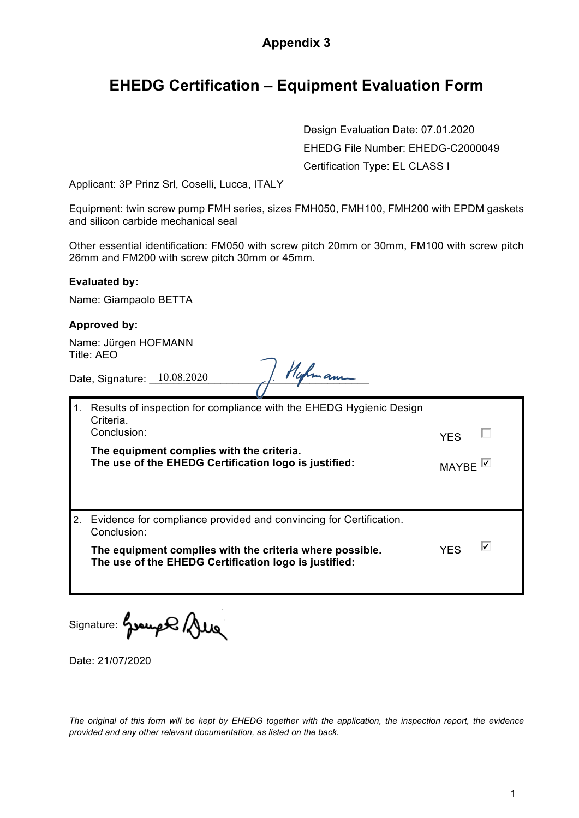### **Appendix 3**

## **EHEDG Certification – Equipment Evaluation Form**

Design Evaluation Date: 07.01.2020 EHEDG File Number: EHEDG-C2000049 Certification Type: EL CLASS I

Applicant: 3P Prinz Srl, Coselli, Lucca, ITALY

Equipment: twin screw pump FMH series, sizes FMH050, FMH100, FMH200 with EPDM gaskets and silicon carbide mechanical seal

Other essential identification: FM050 with screw pitch 20mm or 30mm, FM100 with screw pitch 26mm and FM200 with screw pitch 30mm or 45mm.

#### **Evaluated by:**

Name: Giampaolo BETTA

#### **Approved by:**

Name: Jürgen HOFMANN Title: AEO

Date, Signature:  $10.08.2020$  |  $10.08.2020$ 

| Results of inspection for compliance with the EHEDG Hygienic Design<br>Criteria.<br>Conclusion:                   |                   |   |
|-------------------------------------------------------------------------------------------------------------------|-------------------|---|
| The equipment complies with the criteria.<br>The use of the EHEDG Certification logo is justified:                | MAYBE $\boxtimes$ |   |
| 2. Evidence for compliance provided and convincing for Certification.<br>Conclusion:                              |                   |   |
| The equipment complies with the criteria where possible.<br>The use of the EHEDG Certification logo is justified: | <b>YFS</b>        | ⊽ |

Signature: house Que

Date: 21/07/2020

*The original of this form will be kept by EHEDG together with the application, the inspection report, the evidence provided and any other relevant documentation, as listed on the back.*